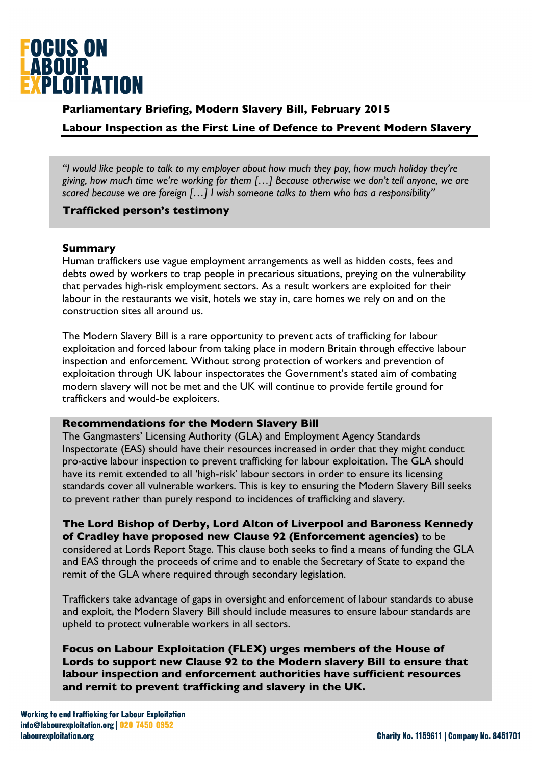

# **Parliamentary Briefing, Modern Slavery Bill, February 2015**

## **Labour Inspection as the First Line of Defence to Prevent Modern Slavery**

*"I would like people to talk to my employer about how much they pay, how much holiday they're giving, how much time we're working for them […] Because otherwise we don't tell anyone, we are scared because we are foreign […] I wish someone talks to them who has a responsibility"*

## **Trafficked person's testimony**

### **Summary**

Human traffickers use vague employment arrangements as well as hidden costs, fees and debts owed by workers to trap people in precarious situations, preying on the vulnerability that pervades high-risk employment sectors. As a result workers are exploited for their labour in the restaurants we visit, hotels we stay in, care homes we rely on and on the construction sites all around us.

The Modern Slavery Bill is a rare opportunity to prevent acts of trafficking for labour exploitation and forced labour from taking place in modern Britain through effective labour inspection and enforcement. Without strong protection of workers and prevention of exploitation through UK labour inspectorates the Government's stated aim of combating modern slavery will not be met and the UK will continue to provide fertile ground for traffickers and would-be exploiters.

#### **Recommendations for the Modern Slavery Bill**

The Gangmasters' Licensing Authority (GLA) and Employment Agency Standards Inspectorate (EAS) should have their resources increased in order that they might conduct pro-active labour inspection to prevent trafficking for labour exploitation. The GLA should have its remit extended to all 'high-risk' labour sectors in order to ensure its licensing standards cover all vulnerable workers. This is key to ensuring the Modern Slavery Bill seeks to prevent rather than purely respond to incidences of trafficking and slavery.

**The Lord Bishop of Derby, Lord Alton of Liverpool and Baroness Kennedy of Cradley have proposed new Clause 92 (Enforcement agencies)** to be considered at Lords Report Stage. This clause both seeks to find a means of funding the GLA and EAS through the proceeds of crime and to enable the Secretary of State to expand the remit of the GLA where required through secondary legislation.

Traffickers take advantage of gaps in oversight and enforcement of labour standards to abuse and exploit, the Modern Slavery Bill should include measures to ensure labour standards are upheld to protect vulnerable workers in all sectors.

**Focus on Labour Exploitation (FLEX) urges members of the House of Lords to support new Clause 92 to the Modern slavery Bill to ensure that labour inspection and enforcement authorities have sufficient resources and remit to prevent trafficking and slavery in the UK.**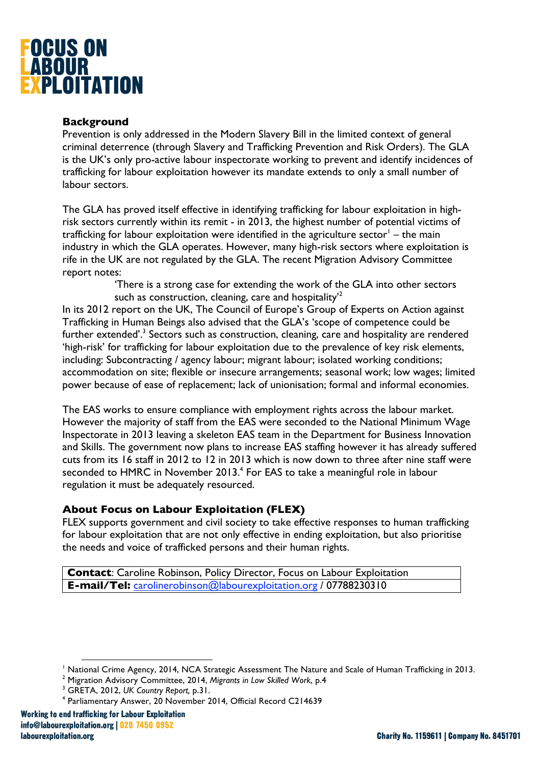

## **Background**

Prevention is only addressed in the Modern Slavery Bill in the limited context of general criminal deterrence (through Slavery and Trafficking Prevention and Risk Orders). The GLA is the UK's only pro-active labour inspectorate working to prevent and identify incidences of trafficking for labour exploitation however its mandate extends to only a small number of labour sectors.

The GLA has proved itself effective in identifying trafficking for labour exploitation in highrisk sectors currently within its remit - in 2013, the highest number of potential victims of trafficking for labour exploitation were identified in the agriculture sector<sup>1</sup> – the main industry in which the GLA operates. However, many high-risk sectors where exploitation is rife in the UK are not regulated by the GLA. The recent Migration Advisory Committee report notes:

> 'There is a strong case for extending the work of the GLA into other sectors such as construction, cleaning, care and hospitality<sup>2</sup>

In its 2012 report on the UK, The Council of Europe's Group of Experts on Action against Trafficking in Human Beings also advised that the GLA's 'scope of competence could be further extended'.<sup>3</sup> Sectors such as construction, cleaning, care and hospitality are rendered 'high-risk' for trafficking for labour exploitation due to the prevalence of key risk elements, including: Subcontracting / agency labour; migrant labour; isolated working conditions; accommodation on site; flexible or insecure arrangements; seasonal work; low wages; limited power because of ease of replacement; lack of unionisation; formal and informal economies.

The EAS works to ensure compliance with employment rights across the labour market. However the majority of staff from the EAS were seconded to the National Minimum Wage Inspectorate in 2013 leaving a skeleton EAS team in the Department for Business Innovation and Skills. The government now plans to increase EAS staffing however it has already suffered cuts from its 16 staff in 2012 to 12 in 2013 which is now down to three after nine staff were seconded to HMRC in November 2013.<sup>4</sup> For EAS to take a meaningful role in labour regulation it must be adequately resourced.

## **About Focus on Labour Exploitation (FLEX)**

FLEX supports government and civil society to take effective responses to human trafficking for labour exploitation that are not only effective in ending exploitation, but also prioritise the needs and voice of trafficked persons and their human rights.

**Contact**: Caroline Robinson, Policy Director, Focus on Labour Exploitation **E-mail/Tel:** carolinerobinson@labourexploitation.org / 07788230310

1

<sup>&</sup>lt;sup>1</sup> National Crime Agency, 2014, NCA Strategic Assessment The Nature and Scale of Human Trafficking in 2013.<br><sup>2</sup> Migration Advisory Committee, 2014, Migrants in Low Skilled Werk, p.4.

Migration Advisory Committee, 2014, *Migrants in Low Skilled Work*, p.4

<sup>3</sup> GRETA, 2012, *UK Country Report,* p.31. 4

Parliamentary Answer, 20 November 2014, Official Record C214639